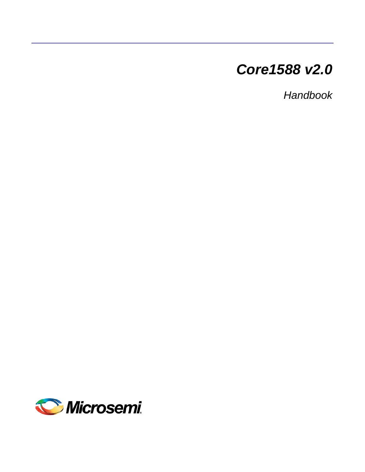# *Core1588 v2.0*

*Handbook*

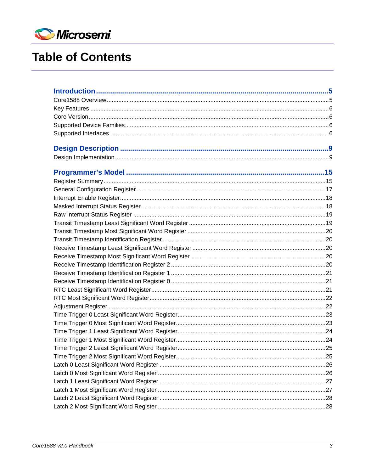

# **Table of Contents**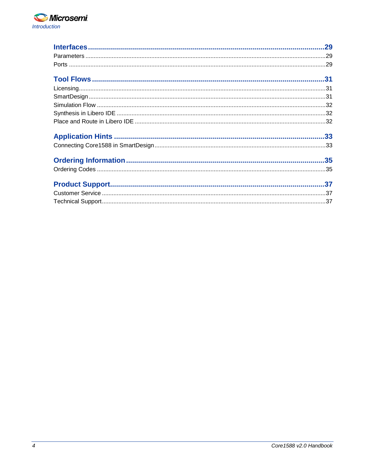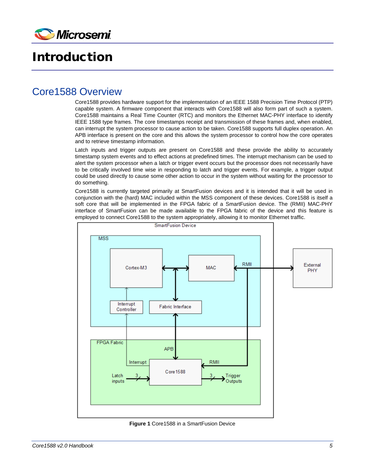

# <span id="page-4-0"></span>Introduction

### <span id="page-4-1"></span>Core1588 Overview

Core1588 provides hardware support for the implementation of an IEEE 1588 Precision Time Protocol (PTP) capable system. A firmware component that interacts with Core1588 will also form part of such a system. Core1588 maintains a Real Time Counter (RTC) and monitors the Ethernet MAC-PHY interface to identify IEEE 1588 type frames. The core timestamps receipt and transmission of these frames and, when enabled, can interrupt the system processor to cause action to be taken. Core1588 supports full duplex operation. An APB interface is present on the core and this allows the system processor to control how the core operates and to retrieve timestamp information.

Latch inputs and trigger outputs are present on Core1588 and these provide the ability to accurately timestamp system events and to effect actions at predefined times. The interrupt mechanism can be used to alert the system processor when a latch or trigger event occurs but the processor does not necessarily have to be critically involved time wise in responding to latch and trigger events. For example, a trigger output could be used directly to cause some other action to occur in the system without waiting for the processor to do something.

Core1588 is currently targeted primarily at SmartFusion devices and it is intended that it will be used in conjunction with the (hard) MAC included within the MSS component of these devices. Core1588 is itself a soft core that will be implemented in the FPGA fabric of a SmartFusion device. The (RMII) MAC-PHY interface of SmartFusion can be made available to the FPGA fabric of the device and this feature is employed to connect Core1588 to the system appropriately, allowing it to monitor Ethernet traffic.



**Figure 1** Core1588 in a SmartFusion Device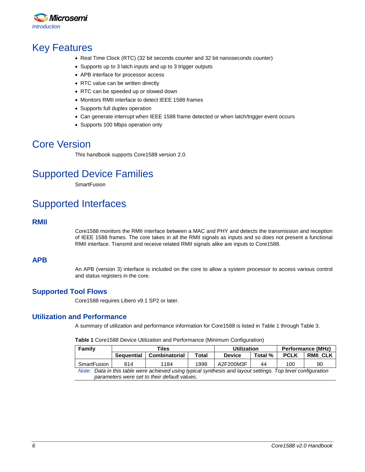

### <span id="page-5-0"></span>Key Features

- Real Time Clock (RTC) (32 bit seconds counter and 32 bit nanoseconds counter)
- Supports up to 3 latch inputs and up to 3 trigger outputs
- APB interface for processor access
- RTC value can be written directly
- RTC can be speeded up or slowed down
- Monitors RMII interface to detect IEEE 1588 frames
- Supports full duplex operation
- Can generate interrupt when IEEE 1588 frame detected or when latch/trigger event occurs
- Supports 100 Mbps operation only

### <span id="page-5-1"></span>Core Version

This handbook supports Core1588 version 2.0.

### <span id="page-5-2"></span>Supported Device Families

**SmartFusion** 

## <span id="page-5-3"></span>Supported Interfaces

### **RMII**

Core1588 monitors the RMII interface between a MAC and PHY and detects the transmission and reception of IEEE 1588 frames. The core takes in all the RMII signals as inputs and so does not present a functional RMII interface. Transmit and receive related RMII signals alike are inputs to Core1588.

### **APB**

An APB (version 3) interface is included on the core to allow a system processor to access various control and status registers in the core.

### **Supported Tool Flows**

Core1588 requires Libero v9.1 SP2 or later.

### <span id="page-5-4"></span>**Utilization and Performance**

A summary of utilization and performance information for Core1588 is listed i[n Table 1](#page-5-4) through [Table 3.](#page-6-0)

|  |  |  |  | Table 1 Core1588 Device Utilization and Performance (Minimum Configuration) |  |  |
|--|--|--|--|-----------------------------------------------------------------------------|--|--|
|--|--|--|--|-----------------------------------------------------------------------------|--|--|

| Family                                       |                                                                                                             | Tiles                |       | <b>Utilization</b> |         | <b>Performance (MHz)</b> |                 |  |
|----------------------------------------------|-------------------------------------------------------------------------------------------------------------|----------------------|-------|--------------------|---------|--------------------------|-----------------|--|
|                                              | <b>Sequential</b>                                                                                           | <b>Combinatorial</b> | Total | <b>Device</b>      | Total % | <b>PCLK</b>              | <b>RMII CLK</b> |  |
| SmartFusion                                  | 814                                                                                                         | 1184                 | 1998  | A2F200M3F          | 44      | 100                      | 90              |  |
|                                              | Note: Data in this table were achieved using typical synthesis and layout settings. Top level configuration |                      |       |                    |         |                          |                 |  |
| parameters were set to their default values. |                                                                                                             |                      |       |                    |         |                          |                 |  |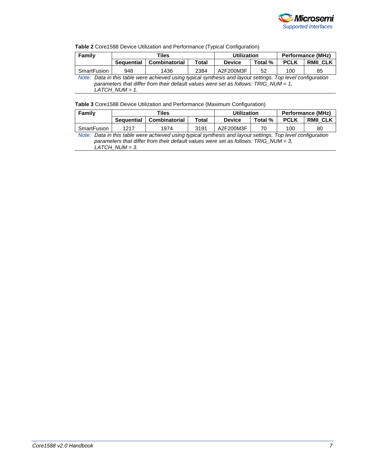

#### **Table 2** Core1588 Device Utilization and Performance (Typical Configuration)

| Family                                                                                                                                                                                             |                   | Tiles         |       | <b>Utilization</b> |         | <b>Performance (MHz)</b> |                 |  |
|----------------------------------------------------------------------------------------------------------------------------------------------------------------------------------------------------|-------------------|---------------|-------|--------------------|---------|--------------------------|-----------------|--|
|                                                                                                                                                                                                    | <b>Sequential</b> | Combinatorial | Total | <b>Device</b>      | Total % | <b>PCLK</b>              | <b>RMII CLK</b> |  |
| SmartFusion                                                                                                                                                                                        | 948               | 1436          | 2384  | A2F200M3F          | 52      | 100                      | 85              |  |
| Note: Data in this table were achieved using typical synthesis and layout settings. Top level configuration<br>parameters that differ from their default values were set as follows: TRIG_NUM = 1, |                   |               |       |                    |         |                          |                 |  |
|                                                                                                                                                                                                    | LATCH NUM $= 1$ . |               |       |                    |         |                          |                 |  |

#### <span id="page-6-0"></span>**Table 3** Core1588 Device Utilization and Performance (Maximum Configuration)

| Family                                                                                 |                                                                                                             | Tiles                |       | <b>Utilization</b> |         | <b>Performance (MHz)</b> |                 |  |
|----------------------------------------------------------------------------------------|-------------------------------------------------------------------------------------------------------------|----------------------|-------|--------------------|---------|--------------------------|-----------------|--|
|                                                                                        | Sequential                                                                                                  | <b>Combinatorial</b> | Total | <b>Device</b>      | Total % | <b>PCLK</b>              | <b>RMII CLK</b> |  |
| SmartFusion                                                                            | 1217                                                                                                        | 1974                 | 3191  | A2F200M3F          | 70      | 100                      | 80              |  |
|                                                                                        | Note: Data in this table were achieved using typical synthesis and layout settings. Top level configuration |                      |       |                    |         |                          |                 |  |
| parameters that differ from their default values were set as follows: TRIG_NUM = $3$ , |                                                                                                             |                      |       |                    |         |                          |                 |  |
|                                                                                        | LATCH NUM = 3.                                                                                              |                      |       |                    |         |                          |                 |  |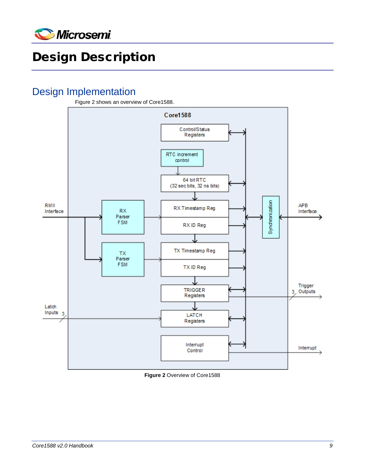

# <span id="page-8-0"></span>Design Description

## <span id="page-8-1"></span>Design Implementation



<span id="page-8-2"></span>**Figure 2** Overview of Core1588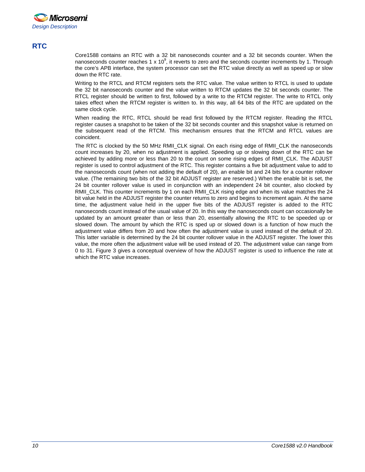

### **RTC**

Core1588 contains an RTC with a 32 bit nanoseconds counter and a 32 bit seconds counter. When the nanoseconds counter reaches 1 x 10<sup>9</sup>, it reverts to zero and the seconds counter increments by 1. Through the core's APB interface, the system processor can set the RTC value directly as well as speed up or slow down the RTC rate.

Writing to the RTCL and RTCM registers sets the RTC value. The value written to RTCL is used to update the 32 bit nanoseconds counter and the value written to RTCM updates the 32 bit seconds counter. The RTCL register should be written to first, followed by a write to the RTCM register. The write to RTCL only takes effect when the RTCM register is written to. In this way, all 64 bits of the RTC are updated on the same clock cycle.

When reading the RTC, RTCL should be read first followed by the RTCM register. Reading the RTCL register causes a snapshot to be taken of the 32 bit seconds counter and this snapshot value is returned on the subsequent read of the RTCM. This mechanism ensures that the RTCM and RTCL values are coincident.

The RTC is clocked by the 50 MHz RMII\_CLK signal. On each rising edge of RMII\_CLK the nanoseconds count increases by 20, when no adjustment is applied. Speeding up or slowing down of the RTC can be achieved by adding more or less than 20 to the count on some rising edges of RMII\_CLK. The ADJUST register is used to control adjustment of the RTC. This register contains a five bit adjustment value to add to the nanoseconds count (when not adding the default of 20), an enable bit and 24 bits for a counter rollover value. (The remaining two bits of the 32 bit ADJUST register are reserved.) When the enable bit is set, the 24 bit counter rollover value is used in conjunction with an independent 24 bit counter, also clocked by RMII\_CLK. This counter increments by 1 on each RMII\_CLK rising edge and when its value matches the 24 bit value held in the ADJUST register the counter returns to zero and begins to increment again. At the same time, the adjustment value held in the upper five bits of the ADJUST register is added to the RTC nanoseconds count instead of the usual value of 20. In this way the nanoseconds count can occasionally be updated by an amount greater than or less than 20, essentially allowing the RTC to be speeded up or slowed down. The amount by which the RTC is sped up or slowed down is a function of how much the adjustment value differs from 20 and how often the adjustment value is used instead of the default of 20. This latter variable is determined by the 24 bit counter rollover value in the ADJUST register. The lower this value, the more often the adjustment value will be used instead of 20. The adjustment value can range from 0 to 31. [Figure 3](#page-10-0) gives a conceptual overview of how the ADJUST register is used to influence the rate at which the RTC value increases.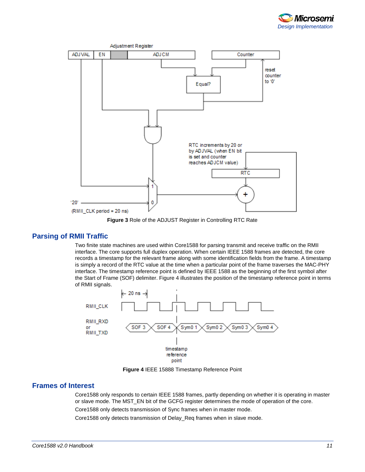



**Figure 3** Role of the ADJUST Register in Controlling RTC Rate

#### <span id="page-10-0"></span>**Parsing of RMII Traffic**

Two finite state machines are used within Core1588 for parsing transmit and receive traffic on the RMII interface. The core supports full duplex operation. When certain IEEE 1588 frames are detected, the core records a timestamp for the relevant frame along with some identification fields from the frame. A timestamp is simply a record of the RTC value at the time when a particular point of the frame traverses the MAC-PHY interface. The timestamp reference point is defined by IEEE 1588 as the beginning of the first symbol after the Start of Frame (SOF) delimiter. [Figure 4](#page-10-1) illustrates the position of the timestamp reference point in terms of RMII signals.



**Figure 4** IEEE 15888 Timestamp Reference Point

#### <span id="page-10-1"></span>**Frames of Interest**

Core1588 only responds to certain IEEE 1588 frames, partly depending on whether it is operating in master or slave mode. The MST\_EN bit of the GCFG register determines the mode of operation of the core.

Core1588 only detects transmission of Sync frames when in master mode.

Core1588 only detects transmission of Delay\_Req frames when in slave mode.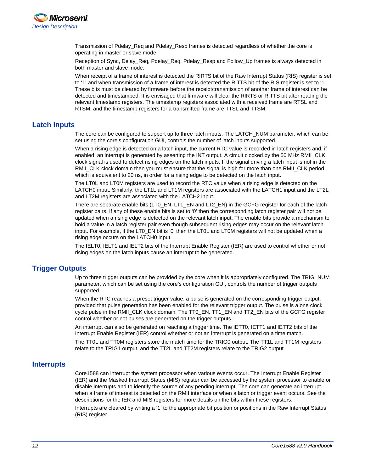

Transmission of Pdelay\_Req and Pdelay\_Resp frames is detected regardless of whether the core is operating in master or slave mode.

Reception of Sync, Delay\_Req, Pdelay\_Req, Pdelay\_Resp and Follow\_Up frames is always detected in both master and slave mode.

When receipt of a frame of interest is detected the RIRTS bit of the Raw Interrupt Status (RIS) register is set to '1' and when transmission of a frame of interest is detected the RITTS bit of the RIS register is set to '1'. These bits must be cleared by firmware before the receipt/transmission of another frame of interest can be detected and timestamped. It is envisaged that firmware will clear the RIRTS or RITTS bit after reading the relevant timestamp registers. The timestamp registers associated with a received frame are RTSL and RTSM, and the timestamp registers for a transmitted frame are TTSL and TTSM.

#### **Latch Inputs**

The core can be configured to support up to three latch inputs. The LATCH\_NUM parameter, which can be set using the core's configuration GUI, controls the number of latch inputs supported.

When a rising edge is detected on a latch input, the current RTC value is recorded in latch registers and, if enabled, an interrupt is generated by asserting the INT output. A circuit clocked by the 50 MHz RMII\_CLK clock signal is used to detect rising edges on the latch inputs. If the signal driving a latch input is not in the RMII\_CLK clock domain then you must ensure that the signal is high for more than one RMII\_CLK period, which is equivalent to 20 ns, in order for a rising edge to be detected on the latch input.

The LT0L and LT0M registers are used to record the RTC value when a rising edge is detected on the LATCH0 input. Similarly, the LT1L and LT1M registers are associated with the LATCH1 input and the LT2L and LT2M registers are associated with the LATCH2 input.

There are separate enable bits (LT0\_EN, LT1\_EN and LT2\_EN) in the GCFG register for each of the latch register pairs. If any of these enable bits is set to '0' then the corresponding latch register pair will not be updated when a rising edge is detected on the relevant latch input. The enable bits provide a mechanism to hold a value in a latch register pair even though subsequent rising edges may occur on the relevant latch input. For example, if the LT0\_EN bit is '0' then the LT0L and LT0M registers will not be updated when a rising edge occurs on the LATCH0 input.

The IELT0, IELT1 and IELT2 bits of the Interrupt Enable Register (IER) are used to control whether or not rising edges on the latch inputs cause an interrupt to be generated.

### **Trigger Outputs**

Up to three trigger outputs can be provided by the core when it is appropriately configured. The TRIG\_NUM parameter, which can be set using the core's configuration GUI, controls the number of trigger outputs supported.

When the RTC reaches a preset trigger value, a pulse is generated on the corresponding trigger output, provided that pulse generation has been enabled for the relevant trigger output. The pulse is a one clock cycle pulse in the RMII\_CLK clock domain. The TT0\_EN, TT1\_EN and TT2\_EN bits of the GCFG register control whether or not pulses are generated on the trigger outputs.

An interrupt can also be generated on reaching a trigger time. The IETT0, IETT1 and IETT2 bits of the Interrupt Enable Register (IER) control whether or not an interrupt is generated on a time match.

The TT0L and TT0M registers store the match time for the TRIG0 output. The TT1L and TT1M registers relate to the TRIG1 output, and the TT2L and TT2M registers relate to the TRIG2 output.

#### **Interrupts**

Core1588 can interrupt the system processor when various events occur. The Interrupt Enable Register (IER) and the Masked Interrupt Status (MIS) register can be accessed by the system processor to enable or disable interrupts and to identify the source of any pending interrupt. The core can generate an interrupt when a frame of interest is detected on the RMII interface or when a latch or trigger event occurs. See the descriptions for the IER and MIS registers for more details on the bits within these registers.

Interrupts are cleared by writing a '1' to the appropriate bit position or positions in the Raw Interrupt Status (RIS) register.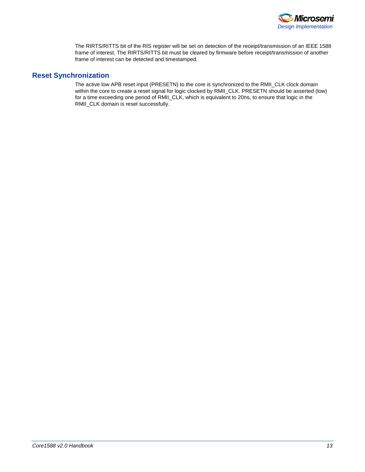

The RIRTS/RITTS bit of the RIS register will be set on detection of the receipt/transmission of an IEEE 1588 frame of interest. The RIRTS/RITTS bit must be cleared by firmware before receipt/transmission of another frame of interest can be detected and timestamped.

### **Reset Synchronization**

The active low APB reset input (PRESETN) to the core is synchronized to the RMII\_CLK clock domain within the core to create a reset signal for logic clocked by RMII\_CLK. PRESETN should be asserted (low) for a time exceeding one period of RMII\_CLK, which is equivalent to 20ns, to ensure that logic in the RMII\_CLK domain is reset successfully.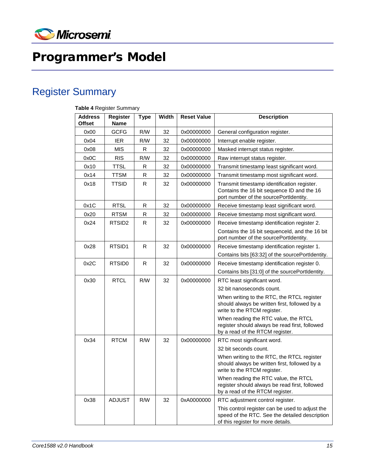

# <span id="page-14-0"></span>Programmer's Model

# <span id="page-14-1"></span>Register Summary

| <b>Address</b><br><b>Offset</b> | <b>Register</b><br><b>Name</b> | <b>Type</b> | Width | <b>Reset Value</b> | <b>Description</b>                                                                                                                      |
|---------------------------------|--------------------------------|-------------|-------|--------------------|-----------------------------------------------------------------------------------------------------------------------------------------|
| 0x00                            | <b>GCFG</b>                    | R/W         | 32    | 0x00000000         | General configuration register.                                                                                                         |
| 0x04                            | <b>IER</b>                     | R/W         | 32    | 0x00000000         | Interrupt enable register.                                                                                                              |
| 0x08                            | <b>MIS</b>                     | R           | 32    | 0x00000000         | Masked interrupt status register.                                                                                                       |
| 0x0C                            | <b>RIS</b>                     | R/W         | 32    | 0x00000000         | Raw interrupt status register.                                                                                                          |
| 0x10                            | <b>TTSL</b>                    | R           | 32    | 0x00000000         | Transmit timestamp least significant word.                                                                                              |
| 0x14                            | <b>TTSM</b>                    | R           | 32    | 0x00000000         | Transmit timestamp most significant word.                                                                                               |
| 0x18                            | <b>TTSID</b>                   | R.          | 32    | 0x00000000         | Transmit timestamp identification register.<br>Contains the 16 bit sequence ID and the 16<br>port number of the sourcePortIdentity.     |
| 0x1C                            | <b>RTSL</b>                    | $\mathsf R$ | 32    | 0x00000000         | Receive timestamp least significant word.                                                                                               |
| 0x20                            | <b>RTSM</b>                    | R           | 32    | 0x00000000         | Receive timestamp most significant word.                                                                                                |
| 0x24                            | RTSID <sub>2</sub>             | R           | 32    | 0x00000000         | Receive timestamp identification register 2.                                                                                            |
|                                 |                                |             |       |                    | Contains the 16 bit sequenceld, and the 16 bit<br>port number of the sourcePortIdentity.                                                |
| 0x28                            | RTSID1                         | R           | 32    | 0x00000000         | Receive timestamp identification register 1.                                                                                            |
|                                 |                                |             |       |                    | Contains bits [63:32] of the sourcePortIdentity.                                                                                        |
| 0x2C                            | RTSID <sub>0</sub>             | R.          | 32    | 0x00000000         | Receive timestamp identification register 0.                                                                                            |
|                                 |                                |             |       |                    | Contains bits [31:0] of the sourcePortIdentity.                                                                                         |
| 0x30                            | <b>RTCL</b>                    | R/W         | 32    | 0x00000000         | RTC least significant word.                                                                                                             |
|                                 |                                |             |       |                    | 32 bit nanoseconds count.                                                                                                               |
|                                 |                                |             |       |                    | When writing to the RTC, the RTCL register<br>should always be written first, followed by a<br>write to the RTCM register.              |
|                                 |                                |             |       |                    | When reading the RTC value, the RTCL<br>register should always be read first, followed<br>by a read of the RTCM register.               |
| 0x34                            | <b>RTCM</b>                    | R/W         | 32    | 0x00000000         | RTC most significant word.                                                                                                              |
|                                 |                                |             |       |                    | 32 bit seconds count.                                                                                                                   |
|                                 |                                |             |       |                    | When writing to the RTC, the RTCL register<br>should always be written first, followed by a<br>write to the RTCM register.              |
|                                 |                                |             |       |                    | When reading the RTC value, the RTCL<br>register should always be read first, followed<br>by a read of the RTCM register.               |
| 0x38                            | <b>ADJUST</b>                  | R/W         | 32    | 0xA0000000         | RTC adjustment control register.                                                                                                        |
|                                 |                                |             |       |                    | This control register can be used to adjust the<br>speed of the RTC. See the detailed description<br>of this register for more details. |

#### **Table 4** Register Summary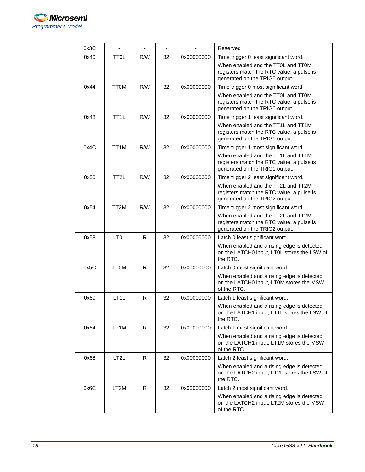

| 0x3C |                   | $\overline{\phantom{0}}$ | $\overline{\phantom{a}}$ |            | Reserved                                                                                                          |
|------|-------------------|--------------------------|--------------------------|------------|-------------------------------------------------------------------------------------------------------------------|
| 0x40 | <b>TTOL</b>       | R/W                      | 32                       | 0x00000000 | Time trigger 0 least significant word.                                                                            |
|      |                   |                          |                          |            | When enabled and the TT0L and TT0M<br>registers match the RTC value, a pulse is<br>generated on the TRIG0 output. |
| 0x44 | <b>TTOM</b>       | R/W                      | 32                       | 0x00000000 | Time trigger 0 most significant word.                                                                             |
|      |                   |                          |                          |            | When enabled and the TT0L and TT0M<br>registers match the RTC value, a pulse is<br>generated on the TRIG0 output. |
| 0x48 | TT <sub>1</sub> L | R/W                      | 32                       | 0x00000000 | Time trigger 1 least significant word.                                                                            |
|      |                   |                          |                          |            | When enabled and the TT1L and TT1M<br>registers match the RTC value, a pulse is<br>generated on the TRIG1 output. |
| 0x4C | TT1M              | R/W                      | 32                       | 0x00000000 | Time trigger 1 most significant word.                                                                             |
|      |                   |                          |                          |            | When enabled and the TT1L and TT1M<br>registers match the RTC value, a pulse is<br>generated on the TRIG1 output. |
| 0x50 | TT <sub>2</sub> L | R/W                      | 32                       | 0x00000000 | Time trigger 2 least significant word.                                                                            |
|      |                   |                          |                          |            | When enabled and the TT2L and TT2M<br>registers match the RTC value, a pulse is<br>generated on the TRIG2 output. |
| 0x54 | TT2M              | R/W                      | 32                       | 0x00000000 | Time trigger 2 most significant word.                                                                             |
|      |                   |                          |                          |            | When enabled and the TT2L and TT2M<br>registers match the RTC value, a pulse is<br>generated on the TRIG2 output. |
| 0x58 | <b>LTOL</b>       | R                        | 32                       | 0x00000000 | Latch 0 least significant word.                                                                                   |
|      |                   |                          |                          |            | When enabled and a rising edge is detected<br>on the LATCH0 input, LT0L stores the LSW of<br>the RTC.             |
| 0x5C | <b>LTOM</b>       | R                        | 32                       | 0x00000000 | Latch 0 most significant word.                                                                                    |
|      |                   |                          |                          |            | When enabled and a rising edge is detected<br>on the LATCH0 input, LT0M stores the MSW<br>of the RTC.             |
| 0x60 | LT <sub>1</sub> L | R                        | 32                       | 0x00000000 | Latch 1 least significant word.                                                                                   |
|      |                   |                          |                          |            | When enabled and a rising edge is detected<br>on the LATCH1 input, LT1L stores the LSW of<br>the RTC.             |
| 0x64 | LT1M              | R.                       | 32                       | 0x00000000 | Latch 1 most significant word.                                                                                    |
|      |                   |                          |                          |            | When enabled and a rising edge is detected<br>on the LATCH1 input, LT1M stores the MSW<br>of the RTC.             |
| 0x68 | LT <sub>2</sub> L | R.                       | 32                       | 0x00000000 | Latch 2 least significant word.                                                                                   |
|      |                   |                          |                          |            | When enabled and a rising edge is detected<br>on the LATCH2 input, LT2L stores the LSW of<br>the RTC.             |
| 0x6C | LT2M              | R.                       | 32                       | 0x00000000 | Latch 2 most significant word.                                                                                    |
|      |                   |                          |                          |            | When enabled and a rising edge is detected<br>on the LATCH2 input, LT2M stores the MSW<br>of the RTC.             |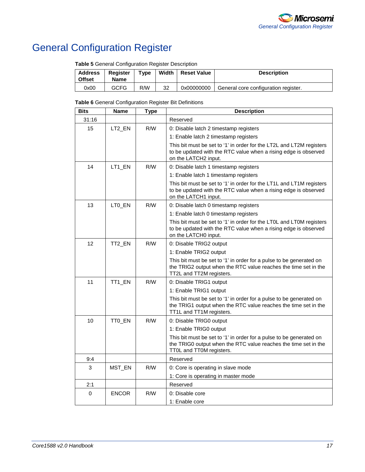

# <span id="page-16-0"></span>General Configuration Register

| <b>Table o</b> Ochcial Comigaration Register Description |                                |             |       |                    |                                      |  |  |
|----------------------------------------------------------|--------------------------------|-------------|-------|--------------------|--------------------------------------|--|--|
| <b>Address</b><br><b>Offset</b>                          | <b>Register</b><br><b>Name</b> | <b>Type</b> | Width | <b>Reset Value</b> | <b>Description</b>                   |  |  |
| 0x00                                                     | <b>GCFG</b>                    | R/W         | 32    | 0x00000000         | General core configuration register. |  |  |

**Table 5** General Configuration Register Description

**Table 6** General Configuration Register Bit Definitions

| <b>Bits</b> | <b>Name</b>  | <b>Type</b> | <b>Description</b>                                                                                                                                                 |
|-------------|--------------|-------------|--------------------------------------------------------------------------------------------------------------------------------------------------------------------|
| 31:16       |              |             | Reserved                                                                                                                                                           |
| 15          | LT2_EN       | R/W         | 0: Disable latch 2 timestamp registers                                                                                                                             |
|             |              |             | 1: Enable latch 2 timestamp registers                                                                                                                              |
|             |              |             | This bit must be set to '1' in order for the LT2L and LT2M registers<br>to be updated with the RTC value when a rising edge is observed<br>on the LATCH2 input.    |
| 14          | LT1_EN       | R/W         | 0: Disable latch 1 timestamp registers                                                                                                                             |
|             |              |             | 1: Enable latch 1 timestamp registers                                                                                                                              |
|             |              |             | This bit must be set to '1' in order for the LT1L and LT1M registers<br>to be updated with the RTC value when a rising edge is observed<br>on the LATCH1 input.    |
| 13          | LTO_EN       | R/W         | 0: Disable latch 0 timestamp registers                                                                                                                             |
|             |              |             | 1: Enable latch 0 timestamp registers                                                                                                                              |
|             |              |             | This bit must be set to '1' in order for the LT0L and LT0M registers<br>to be updated with the RTC value when a rising edge is observed<br>on the LATCH0 input.    |
| 12          | TT2_EN       | R/M         | 0: Disable TRIG2 output                                                                                                                                            |
|             |              |             | 1: Enable TRIG2 output                                                                                                                                             |
|             |              |             | This bit must be set to '1' in order for a pulse to be generated on<br>the TRIG2 output when the RTC value reaches the time set in the<br>TT2L and TT2M registers. |
| 11          | TT1_EN       | R/W         | 0: Disable TRIG1 output                                                                                                                                            |
|             |              |             | 1: Enable TRIG1 output                                                                                                                                             |
|             |              |             | This bit must be set to '1' in order for a pulse to be generated on<br>the TRIG1 output when the RTC value reaches the time set in the<br>TT1L and TT1M registers. |
| 10          | TT0_EN       | RM          | 0: Disable TRIG0 output                                                                                                                                            |
|             |              |             | 1: Enable TRIG0 output                                                                                                                                             |
|             |              |             | This bit must be set to '1' in order for a pulse to be generated on<br>the TRIG0 output when the RTC value reaches the time set in the<br>TT0L and TT0M registers. |
| 9:4         |              |             | Reserved                                                                                                                                                           |
| 3           | MST_EN       | R/W         | 0: Core is operating in slave mode                                                                                                                                 |
|             |              |             | 1: Core is operating in master mode                                                                                                                                |
| 2:1         |              |             | Reserved                                                                                                                                                           |
| 0           | <b>ENCOR</b> | R/W         | 0: Disable core                                                                                                                                                    |
|             |              |             | 1: Enable core                                                                                                                                                     |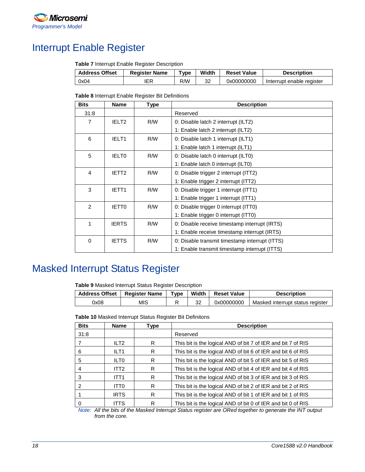

## <span id="page-17-0"></span>Interrupt Enable Register

**Table 7** Interrupt Enable Register Description

| <b>Address Offset</b> | <b>Register Name</b> | $\mathsf{v}$ pe | Width | <b>Reset Value</b> | <b>Description</b>        |
|-----------------------|----------------------|-----------------|-------|--------------------|---------------------------|
| 0x04                  |                      | R/W             | 32    | 0x00000000         | Interrupt enable register |

**Table 8** Interrupt Enable Register Bit Definitions

| <b>Bits</b>    | <b>Name</b>       | Type | <b>Description</b>                             |
|----------------|-------------------|------|------------------------------------------------|
| 31:8           |                   |      | Reserved                                       |
| $\overline{7}$ | IELT <sub>2</sub> | R/W  | 0: Disable latch 2 interrupt (ILT2)            |
|                |                   |      | 1: Enable latch 2 interrupt (ILT2)             |
| 6              | IELT <sub>1</sub> | R/W  | 0: Disable latch 1 interrupt (ILT1)            |
|                |                   |      | 1: Enable latch 1 interrupt (ILT1)             |
| 5              | <b>IELTO</b>      | R/W  | 0: Disable latch 0 interrupt (ILT0)            |
|                |                   |      | 1: Enable latch 0 interrupt (ILT0)             |
| 4              | IETT <sub>2</sub> | R/W  | 0: Disable trigger 2 interrupt (ITT2)          |
|                |                   |      | 1: Enable trigger 2 interrupt (ITT2)           |
| 3              | IETT <sub>1</sub> | R/W  | 0: Disable trigger 1 interrupt (ITT1)          |
|                |                   |      | 1: Enable trigger 1 interrupt (ITT1)           |
| 2              | <b>IETTO</b>      | R/W  | 0: Disable trigger 0 interrupt (ITT0)          |
|                |                   |      | 1: Enable trigger 0 interrupt (ITT0)           |
| 1              | <b>IERTS</b>      | R/W  | 0: Disable receive timestamp interrupt (IRTS)  |
|                |                   |      | 1: Enable receive timestamp interrupt (IRTS)   |
| $\mathbf 0$    | <b>IETTS</b>      | R/W  | 0: Disable transmit timestamp interrupt (ITTS) |
|                |                   |      | 1: Enable transmit timestamp interrupt (ITTS)  |

## <span id="page-17-1"></span>Masked Interrupt Status Register

**Table 9** Masked Interrupt Status Register Description

|      | Address Offset   Register Name | Tvpe | Width | <b>Reset Value</b> | <b>Description</b>               |
|------|--------------------------------|------|-------|--------------------|----------------------------------|
| 0x08 | MIS                            |      | 32    | 0x00000000         | Masked interrupt status register |

**Table 10** Masked Interrupt Status Register Bit Definitons

| <b>Bits</b> | <b>Name</b>      | Type | <b>Description</b>                                           |
|-------------|------------------|------|--------------------------------------------------------------|
| 31:8        |                  |      | Reserved                                                     |
|             | ILT <sub>2</sub> | R    | This bit is the logical AND of bit 7 of IER and bit 7 of RIS |
| 6           | ILT <sub>1</sub> | R    | This bit is the logical AND of bit 6 of IER and bit 6 of RIS |
| 5           | ILT <sub>0</sub> | R    | This bit is the logical AND of bit 5 of IER and bit 5 of RIS |
| 4           | ITT2             | R    | This bit is the logical AND of bit 4 of IER and bit 4 of RIS |
| 3           | ITT <sub>1</sub> | R    | This bit is the logical AND of bit 3 of IER and bit 3 of RIS |
| 2           | ITT0             | R    | This bit is the logical AND of bit 2 of IER and bit 2 of RIS |
|             | <b>IRTS</b>      | R    | This bit is the logical AND of bit 1 of IER and bit 1 of RIS |
| 0           | <b>ITTS</b>      | R    | This bit is the logical AND of bit 0 of IER and bit 0 of RIS |

*Note: All the bits of the Masked Interrupt Status register are ORed together to generate the INT output from the core.*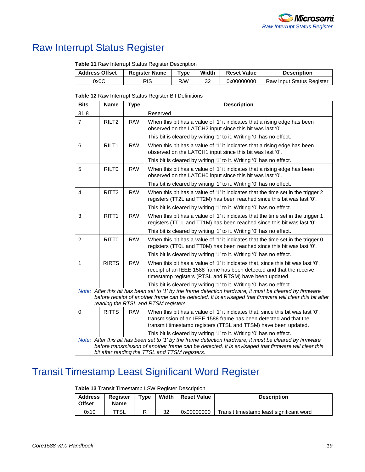

## <span id="page-18-0"></span>Raw Interrupt Status Register

**Table 11** Raw Interrupt Status Register Description

| <b>Address Offset</b> | <b>Register Name</b> | "vpe | Width | <b>Reset Value</b> | <b>Description</b>        |
|-----------------------|----------------------|------|-------|--------------------|---------------------------|
| 0x0C                  | RIS                  | R/W  | 32    | 0x00000000         | Raw Input Status Register |

**Table 12** Raw Interrupt Status Register Bit Definitions

| <b>Bits</b>    | <b>Name</b>       | Type | <b>Description</b>                                                                                                                                                                                                 |
|----------------|-------------------|------|--------------------------------------------------------------------------------------------------------------------------------------------------------------------------------------------------------------------|
| 31:8           |                   |      | Reserved                                                                                                                                                                                                           |
| $\overline{7}$ | RILT <sub>2</sub> | R/W  | When this bit has a value of '1' it indicates that a rising edge has been<br>observed on the LATCH2 input since this bit was last '0'.                                                                             |
|                |                   |      | This bit is cleared by writing '1' to it. Writing '0' has no effect.                                                                                                                                               |
| 6              | RILT <sub>1</sub> | R/W  | When this bit has a value of '1' it indicates that a rising edge has been<br>observed on the LATCH1 input since this bit was last '0'.                                                                             |
|                |                   |      | This bit is cleared by writing '1' to it. Writing '0' has no effect.                                                                                                                                               |
| 5              | RILT <sub>0</sub> | R/W  | When this bit has a value of '1' it indicates that a rising edge has been<br>observed on the LATCH0 input since this bit was last '0'.                                                                             |
|                |                   |      | This bit is cleared by writing '1' to it. Writing '0' has no effect.                                                                                                                                               |
| $\overline{4}$ | RITT <sub>2</sub> | R/W  | When this bit has a value of '1' it indicates that the time set in the trigger 2<br>registers (TT2L and TT2M) has been reached since this bit was last '0'.                                                        |
|                |                   |      | This bit is cleared by writing '1' to it. Writing '0' has no effect.                                                                                                                                               |
| 3              | RITT <sub>1</sub> | R/W  | When this bit has a value of '1' it indicates that the time set in the trigger 1<br>registers (TT1L and TT1M) has been reached since this bit was last '0'.                                                        |
|                |                   |      | This bit is cleared by writing '1' to it. Writing '0' has no effect.                                                                                                                                               |
| $\overline{2}$ | RITT <sub>0</sub> | R/W  | When this bit has a value of '1' it indicates that the time set in the trigger 0<br>registers (TT0L and TT0M) has been reached since this bit was last '0'.                                                        |
|                |                   |      | This bit is cleared by writing '1' to it. Writing '0' has no effect.                                                                                                                                               |
| $\mathbf{1}$   | <b>RIRTS</b>      | R/W  | When this bit has a value of '1' it indicates that, since this bit was last '0',<br>receipt of an IEEE 1588 frame has been detected and that the receive<br>timestamp registers (RTSL and RTSM) have been updated. |
|                |                   |      | This bit is cleared by writing '1' to it. Writing '0' has no effect.                                                                                                                                               |
|                |                   |      | Note: After this bit has been set to '1' by the frame detection hardware, it must be cleared by firmware                                                                                                           |
|                |                   |      | before receipt of another frame can be detected. It is envisaged that firmware will clear this bit after<br>reading the RTSL and RTSM registers.                                                                   |
| $\mathbf 0$    | <b>RITTS</b>      | R/W  | When this bit has a value of '1' it indicates that, since this bit was last '0',                                                                                                                                   |
|                |                   |      | transmission of an IEEE 1588 frame has been detected and that the                                                                                                                                                  |
|                |                   |      | transmit timestamp registers (TTSL and TTSM) have been updated.                                                                                                                                                    |
|                |                   |      | This bit is cleared by writing '1' to it. Writing '0' has no effect.                                                                                                                                               |
|                |                   |      | Note: After this bit has been set to '1' by the frame detection hardware, it must be cleared by firmware<br>before transmission of another frame can be detected. It is envisaged that firmware will clear this    |
|                |                   |      | bit after reading the TTSL and TTSM registers.                                                                                                                                                                     |

# <span id="page-18-1"></span>Transit Timestamp Least Significant Word Register

| Table 13 Transit Timestamp LSW Register Description |  |  |  |
|-----------------------------------------------------|--|--|--|
|-----------------------------------------------------|--|--|--|

| <b>Address</b><br><b>Offset</b> | Register<br><b>Name</b> | $T$ vpe | Width | <b>Reset Value</b> | <b>Description</b>                       |
|---------------------------------|-------------------------|---------|-------|--------------------|------------------------------------------|
| 0x10                            | TSL                     | R       | 32    | 0x00000000         | Transit timestamp least significant word |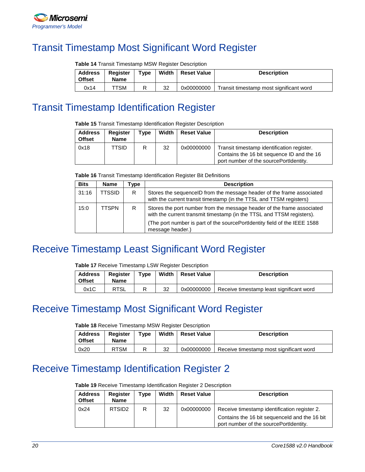

## <span id="page-19-0"></span>Transit Timestamp Most Significant Word Register

| <b>Table 14 Transit Timestamp MSW Register Description</b> |  |
|------------------------------------------------------------|--|
|------------------------------------------------------------|--|

| <b>Address</b><br><b>Offset</b> | <b>Register</b><br><b>Name</b> | $T$ <sub>V</sub> pe | Width | <b>Reset Value</b> | <b>Description</b>                      |
|---------------------------------|--------------------------------|---------------------|-------|--------------------|-----------------------------------------|
| 0x14                            | TTSM                           |                     | 32    | 0x00000000         | Transit timestamp most significant word |

### <span id="page-19-1"></span>Transit Timestamp Identification Register

**Table 15** Transit Timestamp Identification Register Description

| <b>Address</b><br><b>Offset</b> | <b>Register</b><br><b>Name</b> | $\mathsf{v}$ pe | Width | <b>Reset Value</b> | <b>Description</b>                                                                                                                 |
|---------------------------------|--------------------------------|-----------------|-------|--------------------|------------------------------------------------------------------------------------------------------------------------------------|
| 0x18                            | TTSID                          | R               | 32    | 0x00000000         | Transit timestamp identification register.<br>Contains the 16 bit sequence ID and the 16<br>port number of the sourcePortIdentity. |

**Table 16** Transit Timestamp Identification Register Bit Definitions

| <b>Bits</b> | <b>Name</b>   | vpe ⊺ | <b>Description</b>                                                                                                                                                                                                                               |
|-------------|---------------|-------|--------------------------------------------------------------------------------------------------------------------------------------------------------------------------------------------------------------------------------------------------|
| 31:16       | <b>TTSSID</b> | R.    | Stores the sequenceID from the message header of the frame associated<br>with the current transit timestamp (in the TTSL and TTSM registers)                                                                                                     |
| 15:0        | TTSPN         | R     | Stores the port number from the message header of the frame associated<br>with the current transmit timestamp (in the TTSL and TTSM registers).<br>(The port number is part of the sourcePortIdentity field of the IEEE 1588<br>message header.) |

## <span id="page-19-2"></span>Receive Timestamp Least Significant Word Register

**Table 17** Receive Timestamp LSW Register Description

| <b>Address</b><br><b>Offset</b> | <b>Register</b><br><b>Name</b> | Type | Width | <b>Reset Value</b> | <b>Description</b>                       |
|---------------------------------|--------------------------------|------|-------|--------------------|------------------------------------------|
| 0x1C                            | <b>RTSL</b>                    | R    | 32    | 0x00000000         | Receive timestamp least significant word |

## <span id="page-19-3"></span>Receive Timestamp Most Significant Word Register

**Table 18** Receive Timestamp MSW Register Description

| <b>Address</b><br><b>Offset</b> | Register<br>Name | Type | Width | <b>Reset Value</b> | <b>Description</b>                      |
|---------------------------------|------------------|------|-------|--------------------|-----------------------------------------|
| 0x20                            | <b>RTSM</b>      |      | 32    | 0x00000000         | Receive timestamp most significant word |

## <span id="page-19-4"></span>Receive Timestamp Identification Register 2

**Table 19** Receive Timestamp Identification Register 2 Description

| <b>Address</b><br><b>Offset</b> | Register<br><b>Name</b> | Tvpe | Width | <b>Reset Value</b> | <b>Description</b>                                                                      |
|---------------------------------|-------------------------|------|-------|--------------------|-----------------------------------------------------------------------------------------|
| 0x24                            | RTSID <sub>2</sub>      | R    | 32    | 0x00000000         | Receive timestamp identification register 2.                                            |
|                                 |                         |      |       |                    | Contains the 16 bit sequenceld and the 16 bit<br>port number of the sourcePortIdentity. |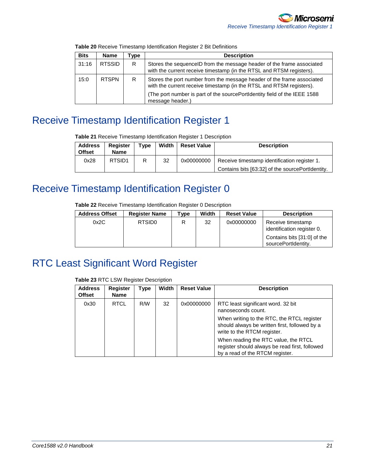| <b>Bits</b> | <b>Name</b>   | vpe | <b>Description</b>                                                                                                                                                                                                                              |
|-------------|---------------|-----|-------------------------------------------------------------------------------------------------------------------------------------------------------------------------------------------------------------------------------------------------|
| 31:16       | <b>RTSSID</b> | R   | Stores the sequenceID from the message header of the frame associated<br>with the current receive timestamp (in the RTSL and RTSM registers).                                                                                                   |
| 15:0        | <b>RTSPN</b>  | R   | Stores the port number from the message header of the frame associated<br>with the current receive timestamp (in the RTSL and RTSM registers).<br>(The port number is part of the sourcePortIdentity field of the IEEE 1588<br>message header.) |

**Table 20** Receive Timestamp Identification Register 2 Bit Definitions

# <span id="page-20-0"></span>Receive Timestamp Identification Register 1

**Table 21** Receive Timestamp Identification Register 1 Description

| <b>Address</b><br><b>Offset</b> | Reaister<br><b>Name</b> | Type | Width | <b>Reset Value</b> | <b>Description</b>                               |
|---------------------------------|-------------------------|------|-------|--------------------|--------------------------------------------------|
| 0x28                            | RTSID <sub>1</sub>      | R    | 32    | 0x00000000         | Receive timestamp identification register 1.     |
|                                 |                         |      |       |                    | Contains bits [63:32] of the sourcePortIdentity. |

## <span id="page-20-1"></span>Receive Timestamp Identification Register 0

**Table 22** Receive Timestamp Identification Register 0 Description

| <b>Address Offset</b> | <b>Register Name</b> | 'vpe | Width | <b>Reset Value</b> | <b>Description</b>                                 |
|-----------------------|----------------------|------|-------|--------------------|----------------------------------------------------|
| 0x2C                  | RTSID <sub>0</sub>   | R    | 32    | 0x00000000         | Receive timestamp<br>identification register 0.    |
|                       |                      |      |       |                    | Contains bits [31:0] of the<br>sourcePortIdentity. |

# <span id="page-20-2"></span>RTC Least Significant Word Register

**Table 23** RTC LSW Register Description

| <b>Address</b><br><b>Offset</b> | <b>Register</b><br>Name | Type | Width | <b>Reset Value</b> | <b>Description</b>                                                                                                         |
|---------------------------------|-------------------------|------|-------|--------------------|----------------------------------------------------------------------------------------------------------------------------|
| 0x30                            | <b>RTCL</b>             | R/W  | 32    | 0x00000000         | RTC least significant word. 32 bit<br>nanoseconds count.                                                                   |
|                                 |                         |      |       |                    | When writing to the RTC, the RTCL register<br>should always be written first, followed by a<br>write to the RTCM register. |
|                                 |                         |      |       |                    | When reading the RTC value, the RTCL<br>register should always be read first, followed<br>by a read of the RTCM register.  |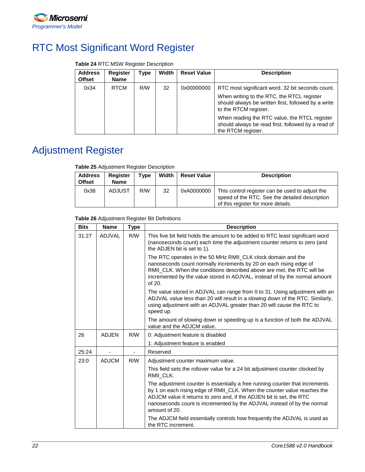

# <span id="page-21-0"></span>RTC Most Significant Word Register

#### **Table 24** RTC MSW Register Description

| <b>Address</b><br><b>Offset</b> | <b>Register</b><br><b>Name</b> | Type | Width | <b>Reset Value</b> | <b>Description</b>                                                                                                                                                                                                                                                                                          |
|---------------------------------|--------------------------------|------|-------|--------------------|-------------------------------------------------------------------------------------------------------------------------------------------------------------------------------------------------------------------------------------------------------------------------------------------------------------|
| 0x34                            | <b>RTCM</b>                    | R/W  | 32    | 0x00000000         | RTC most significant word. 32 bit seconds count.<br>When writing to the RTC, the RTCL register<br>should always be written first, followed by a write<br>to the RTCM register.<br>When reading the RTC value, the RTCL register<br>should always be read first, followed by a read of<br>the RTCM register. |

# <span id="page-21-1"></span>Adjustment Register

#### **Table 25** Adjustment Register Description

| <b>Address</b><br><b>Offset</b> | Register<br><b>Name</b> | Type | Width | <b>Reset Value</b> | <b>Description</b>                                                                                                                      |
|---------------------------------|-------------------------|------|-------|--------------------|-----------------------------------------------------------------------------------------------------------------------------------------|
| 0x38                            | <b>ADJUST</b>           | R/W  | 32    | 0xA0000000         | This control register can be used to adjust the<br>speed of the RTC. See the detailed description<br>of this register for more details. |

#### **Table 26** Adjustment Register Bit Definitions

| <b>Bits</b> | <b>Name</b>  | Type | <b>Description</b>                                                                                                                                                                                                                                                                                                           |
|-------------|--------------|------|------------------------------------------------------------------------------------------------------------------------------------------------------------------------------------------------------------------------------------------------------------------------------------------------------------------------------|
| 31:27       | ADJVAL       | R/W  | This five bit field holds the amount to be added to RTC least significant word<br>(nanoseconds count) each time the adjustment counter returns to zero (and<br>the ADJEN bit is set to 1).                                                                                                                                   |
|             |              |      | The RTC operates in the 50 MHz RMII_CLK clock domain and the<br>nanoseconds count normally increments by 20 on each rising edge of<br>RMII CLK. When the conditions described above are met, the RTC will be<br>incremented by the value stored in ADJVAL, instead of by the normal amount<br>of 20.                         |
|             |              |      | The value stored in ADJVAL can range from 0 to 31. Using adjustment with an<br>ADJVAL value less than 20 will result in a slowing down of the RTC. Similarly,<br>using adjustment with an ADJVAL greater than 20 will cause the RTC to<br>speed up.                                                                          |
|             |              |      | The amount of slowing down or speeding up is a function of both the ADJVAL<br>value and the ADJCM value.                                                                                                                                                                                                                     |
| 26          | <b>ADJEN</b> | R/W  | 0: Adjustment feature is disabled                                                                                                                                                                                                                                                                                            |
|             |              |      | 1: Adjustment feature is enabled                                                                                                                                                                                                                                                                                             |
| 25:24       |              |      | Reserved                                                                                                                                                                                                                                                                                                                     |
| 23:0        | <b>ADJCM</b> | R/W  | Adjustment counter maximum value.                                                                                                                                                                                                                                                                                            |
|             |              |      | This field sets the rollover value for a 24 bit adjustment counter clocked by<br>RMII CLK.                                                                                                                                                                                                                                   |
|             |              |      | The adjustment counter is essentially a free running counter that increments<br>by 1 on each rising edge of RMII_CLK. When the counter value reaches the<br>ADJCM value it returns to zero and, if the ADJEN bit is set, the RTC<br>nanoseconds count is incremented by the ADJVAL instead of by the normal<br>amount of 20. |
|             |              |      | The ADJCM field essentially controls how frequently the ADJVAL is used as<br>the RTC increment.                                                                                                                                                                                                                              |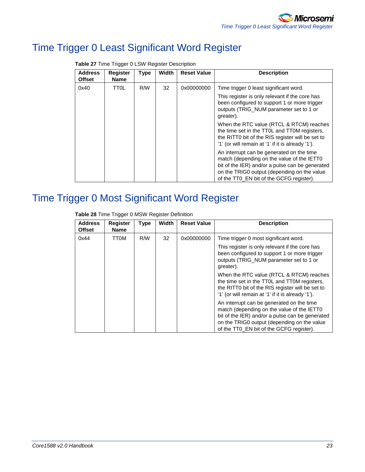# <span id="page-22-0"></span>Time Trigger 0 Least Significant Word Register

| <b>Address</b><br>Offset | <b>Register</b><br><b>Name</b> | <b>Type</b> | <b>Width</b> | <b>Reset Value</b> | <b>Description</b>                                                                                                                                                                                                                    |
|--------------------------|--------------------------------|-------------|--------------|--------------------|---------------------------------------------------------------------------------------------------------------------------------------------------------------------------------------------------------------------------------------|
| 0x40                     | TTOL                           | R/W         | 32           | 0x00000000         | Time trigger 0 least significant word.                                                                                                                                                                                                |
|                          |                                |             |              |                    | This register is only relevant if the core has<br>been configured to support 1 or more trigger<br>outputs (TRIG_NUM parameter set to 1 or<br>greater).                                                                                |
|                          |                                |             |              |                    | When the RTC value (RTCL & RTCM) reaches<br>the time set in the TT0L and TT0M registers,<br>the RITTO bit of the RIS register will be set to<br>'1' (or will remain at '1' if it is already '1').                                     |
|                          |                                |             |              |                    | An interrupt can be generated on the time<br>match (depending on the value of the IETT0<br>bit of the IER) and/or a pulse can be generated<br>on the TRIGO output (depending on the value<br>of the TT0_EN bit of the GCFG register). |

**Table 27** Time Trigger 0 LSW Register Description

# <span id="page-22-1"></span>Time Trigger 0 Most Significant Word Register

**Table 28** Time Trigger 0 MSW Register Definition

| <b>Address</b><br><b>Offset</b> | <b>Register</b><br><b>Name</b> | <b>Type</b> | <b>Width</b> | <b>Reset Value</b> | <b>Description</b>                                                                                                                                                                                                                    |
|---------------------------------|--------------------------------|-------------|--------------|--------------------|---------------------------------------------------------------------------------------------------------------------------------------------------------------------------------------------------------------------------------------|
| 0x44                            | TT0M                           | R/W         | 32           | 0x00000000         | Time trigger 0 most significant word.                                                                                                                                                                                                 |
|                                 |                                |             |              |                    | This register is only relevant if the core has<br>been configured to support 1 or more trigger<br>outputs (TRIG NUM parameter set to 1 or<br>greater).                                                                                |
|                                 |                                |             |              |                    | When the RTC value (RTCL & RTCM) reaches<br>the time set in the TT0L and TT0M registers,<br>the RITTO bit of the RIS register will be set to<br>'1' (or will remain at '1' if it is already '1').                                     |
|                                 |                                |             |              |                    | An interrupt can be generated on the time<br>match (depending on the value of the IETT0<br>bit of the IER) and/or a pulse can be generated<br>on the TRIGO output (depending on the value<br>of the TT0 EN bit of the GCFG register). |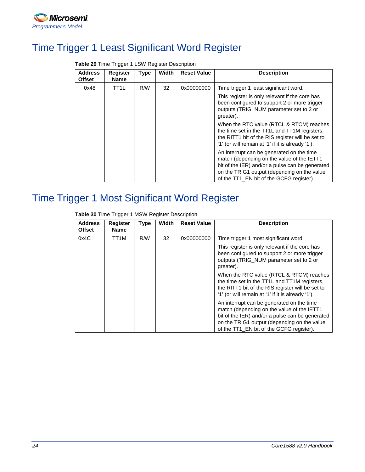

## <span id="page-23-0"></span>Time Trigger 1 Least Significant Word Register

| <b>Address</b><br><b>Offset</b> | <b>Register</b><br><b>Name</b> | <b>Type</b> | <b>Width</b> | <b>Reset Value</b> | <b>Description</b>                                                                                                                                                                                                                    |
|---------------------------------|--------------------------------|-------------|--------------|--------------------|---------------------------------------------------------------------------------------------------------------------------------------------------------------------------------------------------------------------------------------|
| 0x48                            | TT1L                           | R/W         | 32           | 0x00000000         | Time trigger 1 least significant word.                                                                                                                                                                                                |
|                                 |                                |             |              |                    | This register is only relevant if the core has<br>been configured to support 2 or more trigger<br>outputs (TRIG_NUM parameter set to 2 or<br>greater).                                                                                |
|                                 |                                |             |              |                    | When the RTC value (RTCL & RTCM) reaches<br>the time set in the TT1L and TT1M registers,<br>the RITT1 bit of the RIS register will be set to<br>'1' (or will remain at '1' if it is already '1').                                     |
|                                 |                                |             |              |                    | An interrupt can be generated on the time<br>match (depending on the value of the IETT1<br>bit of the IER) and/or a pulse can be generated<br>on the TRIG1 output (depending on the value<br>of the TT1_EN bit of the GCFG register). |

**Table 29** Time Trigger 1 LSW Register Description

# <span id="page-23-1"></span>Time Trigger 1 Most Significant Word Register

**Table 30** Time Trigger 1 MSW Register Description

| <b>Address</b><br><b>Offset</b> | <b>Register</b><br><b>Name</b> | <b>Type</b> | <b>Width</b> | <b>Reset Value</b> | <b>Description</b>                                                                                                                                                                                                                    |
|---------------------------------|--------------------------------|-------------|--------------|--------------------|---------------------------------------------------------------------------------------------------------------------------------------------------------------------------------------------------------------------------------------|
| 0x4C                            | TT1M                           | R/W         | 32           | 0x00000000         | Time trigger 1 most significant word.<br>This register is only relevant if the core has<br>been configured to support 2 or more trigger<br>outputs (TRIG NUM parameter set to 2 or                                                    |
|                                 |                                |             |              |                    | greater).<br>When the RTC value (RTCL & RTCM) reaches<br>the time set in the TT1L and TT1M registers.<br>the RITT1 bit of the RIS register will be set to<br>'1' (or will remain at '1' if it is already '1').                        |
|                                 |                                |             |              |                    | An interrupt can be generated on the time<br>match (depending on the value of the IETT1<br>bit of the IER) and/or a pulse can be generated<br>on the TRIG1 output (depending on the value<br>of the TT1_EN bit of the GCFG register). |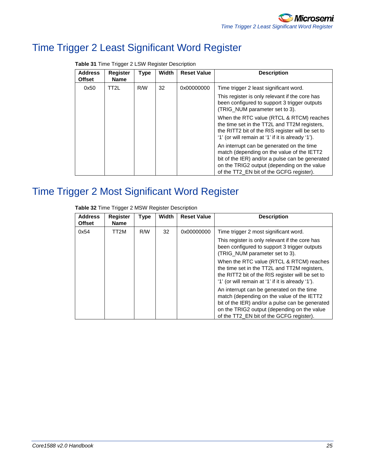# <span id="page-24-0"></span>Time Trigger 2 Least Significant Word Register

| <b>Address</b><br><b>Offset</b> | <b>Register</b><br><b>Name</b> | Type | Width | <b>Reset Value</b> | <b>Description</b>                                                                                                                                                                                                                    |
|---------------------------------|--------------------------------|------|-------|--------------------|---------------------------------------------------------------------------------------------------------------------------------------------------------------------------------------------------------------------------------------|
| 0x50                            | TT2L                           | R/W  | 32    | 0x00000000         | Time trigger 2 least significant word.                                                                                                                                                                                                |
|                                 |                                |      |       |                    | This register is only relevant if the core has<br>been configured to support 3 trigger outputs<br>(TRIG_NUM parameter set to 3).                                                                                                      |
|                                 |                                |      |       |                    | When the RTC value (RTCL & RTCM) reaches<br>the time set in the TT2L and TT2M registers,<br>the RITT2 bit of the RIS register will be set to<br>'1' (or will remain at '1' if it is already '1').                                     |
|                                 |                                |      |       |                    | An interrupt can be generated on the time<br>match (depending on the value of the IETT2<br>bit of the IER) and/or a pulse can be generated<br>on the TRIG2 output (depending on the value<br>of the TT2_EN bit of the GCFG register). |

**Table 31** Time Trigger 2 LSW Register Description

## <span id="page-24-1"></span>Time Trigger 2 Most Significant Word Register

| <b>Address</b><br><b>Offset</b> | <b>Register</b><br><b>Name</b> | <b>Type</b> | Width | <b>Reset Value</b> | <b>Description</b>                                                                                                                                                                                                                    |
|---------------------------------|--------------------------------|-------------|-------|--------------------|---------------------------------------------------------------------------------------------------------------------------------------------------------------------------------------------------------------------------------------|
| 0x54                            | TT2M                           | R/W         | 32    | 0x00000000         | Time trigger 2 most significant word.                                                                                                                                                                                                 |
|                                 |                                |             |       |                    | This register is only relevant if the core has<br>been configured to support 3 trigger outputs<br>(TRIG_NUM parameter set to 3).                                                                                                      |
|                                 |                                |             |       |                    | When the RTC value (RTCL & RTCM) reaches<br>the time set in the TT2L and TT2M registers,<br>the RITT2 bit of the RIS register will be set to<br>'1' (or will remain at '1' if it is already '1').                                     |
|                                 |                                |             |       |                    | An interrupt can be generated on the time<br>match (depending on the value of the IETT2<br>bit of the IER) and/or a pulse can be generated<br>on the TRIG2 output (depending on the value<br>of the TT2_EN bit of the GCFG register). |

**Table 32** Time Trigger 2 MSW Register Description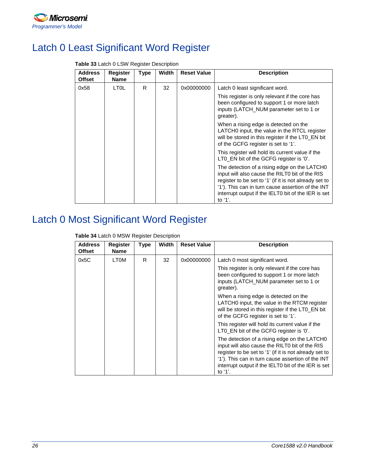

# <span id="page-25-0"></span>Latch 0 Least Significant Word Register

| <b>Address</b><br><b>Offset</b> | <b>Register</b><br><b>Name</b> | <b>Type</b> | <b>Width</b> | <b>Reset Value</b> | <b>Description</b>                                                                                                                                                                                                                                                                 |
|---------------------------------|--------------------------------|-------------|--------------|--------------------|------------------------------------------------------------------------------------------------------------------------------------------------------------------------------------------------------------------------------------------------------------------------------------|
| 0x58                            | LT <sub>0</sub> L              | R           | 32           | 0x00000000         | Latch 0 least significant word.                                                                                                                                                                                                                                                    |
|                                 |                                |             |              |                    | This register is only relevant if the core has<br>been configured to support 1 or more latch<br>inputs (LATCH_NUM parameter set to 1 or<br>greater).                                                                                                                               |
|                                 |                                |             |              |                    | When a rising edge is detected on the<br>LATCHO input, the value in the RTCL register<br>will be stored in this register if the LT0_EN bit<br>of the GCFG register is set to '1'.                                                                                                  |
|                                 |                                |             |              |                    | This register will hold its current value if the<br>LT0_EN bit of the GCFG register is '0'.                                                                                                                                                                                        |
|                                 |                                |             |              |                    | The detection of a rising edge on the LATCH0<br>input will also cause the RILT0 bit of the RIS<br>register to be set to '1' (if it is not already set to<br>'1'). This can in turn cause assertion of the INT<br>interrupt output if the IELT0 bit of the IER is set<br>to $'1'$ . |

### **Table 33** Latch 0 LSW Register Description

# <span id="page-25-1"></span>Latch 0 Most Significant Word Register

**Table 34** Latch 0 MSW Register Description

| <b>Address</b><br><b>Offset</b> | <b>Register</b><br><b>Name</b> | Type | Width | <b>Reset Value</b> | <b>Description</b>                                                                                                                                                                                                                                                                 |
|---------------------------------|--------------------------------|------|-------|--------------------|------------------------------------------------------------------------------------------------------------------------------------------------------------------------------------------------------------------------------------------------------------------------------------|
| 0x5C                            | LTOM                           | R    | 32    | 0x00000000         | Latch 0 most significant word.                                                                                                                                                                                                                                                     |
|                                 |                                |      |       |                    | This register is only relevant if the core has<br>been configured to support 1 or more latch<br>inputs (LATCH NUM parameter set to 1 or<br>greater).                                                                                                                               |
|                                 |                                |      |       |                    | When a rising edge is detected on the<br>LATCHO input, the value in the RTCM register<br>will be stored in this register if the LT0_EN bit<br>of the GCFG register is set to '1'.                                                                                                  |
|                                 |                                |      |       |                    | This register will hold its current value if the<br>LT0_EN bit of the GCFG register is '0'.                                                                                                                                                                                        |
|                                 |                                |      |       |                    | The detection of a rising edge on the LATCH0<br>input will also cause the RILT0 bit of the RIS<br>register to be set to '1' (if it is not already set to<br>'1'). This can in turn cause assertion of the INT<br>interrupt output if the IELT0 bit of the IER is set<br>to $'1'$ . |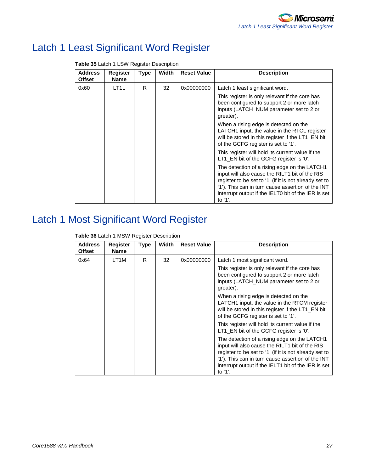# <span id="page-26-0"></span>Latch 1 Least Significant Word Register

| LT <sub>1</sub> L |   |    |            |                                                                                                                                                                                                                                                                                    |
|-------------------|---|----|------------|------------------------------------------------------------------------------------------------------------------------------------------------------------------------------------------------------------------------------------------------------------------------------------|
|                   | R | 32 | 0x00000000 | Latch 1 least significant word.                                                                                                                                                                                                                                                    |
|                   |   |    |            | This register is only relevant if the core has<br>been configured to support 2 or more latch<br>inputs (LATCH_NUM parameter set to 2 or<br>greater).                                                                                                                               |
|                   |   |    |            | When a rising edge is detected on the<br>LATCH1 input, the value in the RTCL register<br>will be stored in this register if the LT1_EN bit<br>of the GCFG register is set to '1'.                                                                                                  |
|                   |   |    |            | This register will hold its current value if the<br>LT1_EN bit of the GCFG register is '0'.                                                                                                                                                                                        |
|                   |   |    |            | The detection of a rising edge on the LATCH1<br>input will also cause the RILT1 bit of the RIS<br>register to be set to '1' (if it is not already set to<br>'1'). This can in turn cause assertion of the INT<br>interrupt output if the IELT0 bit of the IER is set<br>to $'1'$ . |
|                   |   |    |            |                                                                                                                                                                                                                                                                                    |

**Table 35** Latch 1 LSW Register Description

# <span id="page-26-1"></span>Latch 1 Most Significant Word Register

| Table 36 Latch 1 MSW Register Description |  |
|-------------------------------------------|--|
|-------------------------------------------|--|

| <b>Address</b><br><b>Offset</b> | <b>Register</b><br><b>Name</b> | <b>Type</b> | Width | <b>Reset Value</b> | <b>Description</b>                                                                                                                                                                                                                                                                 |
|---------------------------------|--------------------------------|-------------|-------|--------------------|------------------------------------------------------------------------------------------------------------------------------------------------------------------------------------------------------------------------------------------------------------------------------------|
| 0x64                            | LT1M                           | R           | 32    | 0x00000000         | Latch 1 most significant word.                                                                                                                                                                                                                                                     |
|                                 |                                |             |       |                    | This register is only relevant if the core has<br>been configured to support 2 or more latch<br>inputs (LATCH_NUM parameter set to 2 or<br>greater).                                                                                                                               |
|                                 |                                |             |       |                    | When a rising edge is detected on the<br>LATCH1 input, the value in the RTCM register<br>will be stored in this register if the LT1_EN bit<br>of the GCFG register is set to '1'.                                                                                                  |
|                                 |                                |             |       |                    | This register will hold its current value if the<br>LT1_EN bit of the GCFG register is '0'.                                                                                                                                                                                        |
|                                 |                                |             |       |                    | The detection of a rising edge on the LATCH1<br>input will also cause the RILT1 bit of the RIS<br>register to be set to '1' (if it is not already set to<br>'1'). This can in turn cause assertion of the INT<br>interrupt output if the IELT1 bit of the IER is set<br>to $'1'$ . |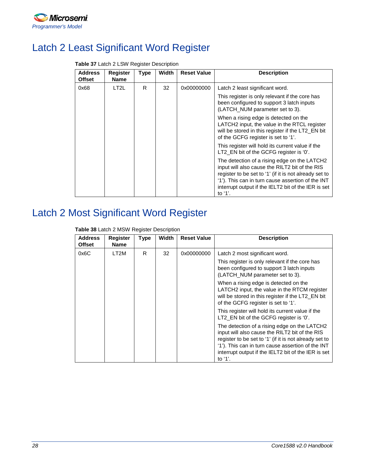

# <span id="page-27-0"></span>Latch 2 Least Significant Word Register

| <b>Address</b><br><b>Offset</b> | <b>Register</b><br><b>Name</b> | <b>Type</b> | Width | <b>Reset Value</b> | <b>Description</b>                                                                                                                                                                                                                                                                 |
|---------------------------------|--------------------------------|-------------|-------|--------------------|------------------------------------------------------------------------------------------------------------------------------------------------------------------------------------------------------------------------------------------------------------------------------------|
| 0x68                            | LT2L                           | R           | 32    | 0x00000000         | Latch 2 least significant word.                                                                                                                                                                                                                                                    |
|                                 |                                |             |       |                    | This register is only relevant if the core has<br>been configured to support 3 latch inputs<br>(LATCH_NUM parameter set to 3).                                                                                                                                                     |
|                                 |                                |             |       |                    | When a rising edge is detected on the<br>LATCH2 input, the value in the RTCL register<br>will be stored in this register if the LT2_EN bit<br>of the GCFG register is set to '1'.                                                                                                  |
|                                 |                                |             |       |                    | This register will hold its current value if the<br>LT2_EN bit of the GCFG register is '0'.                                                                                                                                                                                        |
|                                 |                                |             |       |                    | The detection of a rising edge on the LATCH2<br>input will also cause the RILT2 bit of the RIS<br>register to be set to '1' (if it is not already set to<br>'1'). This can in turn cause assertion of the INT<br>interrupt output if the IELT2 bit of the IER is set<br>to $'1'$ . |

#### **Table 37** Latch 2 LSW Register Description

# <span id="page-27-1"></span>Latch 2 Most Significant Word Register

| <b>Table 38</b> Latch 2 MSW Register Description |  |
|--------------------------------------------------|--|
|--------------------------------------------------|--|

| <b>Address</b><br><b>Offset</b> | <b>Register</b><br><b>Name</b> | <b>Type</b> | Width | <b>Reset Value</b> | <b>Description</b>                                                                                                                                                                                                                                                                 |
|---------------------------------|--------------------------------|-------------|-------|--------------------|------------------------------------------------------------------------------------------------------------------------------------------------------------------------------------------------------------------------------------------------------------------------------------|
| 0x6C                            | LT2M                           | R           | 32    | 0x00000000         | Latch 2 most significant word.                                                                                                                                                                                                                                                     |
|                                 |                                |             |       |                    | This register is only relevant if the core has<br>been configured to support 3 latch inputs<br>(LATCH_NUM parameter set to 3).                                                                                                                                                     |
|                                 |                                |             |       |                    | When a rising edge is detected on the<br>LATCH2 input, the value in the RTCM register<br>will be stored in this register if the LT2_EN bit<br>of the GCFG register is set to '1'.                                                                                                  |
|                                 |                                |             |       |                    | This register will hold its current value if the<br>LT2 EN bit of the GCFG register is '0'.                                                                                                                                                                                        |
|                                 |                                |             |       |                    | The detection of a rising edge on the LATCH2<br>input will also cause the RILT2 bit of the RIS<br>register to be set to '1' (if it is not already set to<br>'1'). This can in turn cause assertion of the INT<br>interrupt output if the IELT2 bit of the IER is set<br>to $'1'$ . |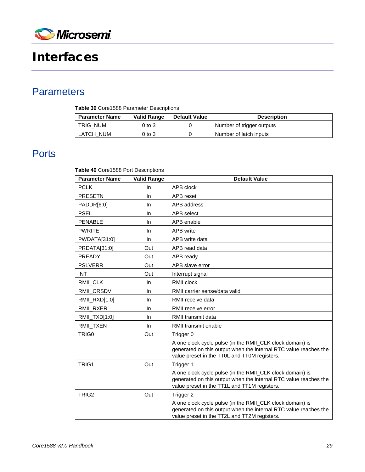

# <span id="page-28-0"></span>Interfaces

## <span id="page-28-1"></span>**Parameters**

**Table 39** Core1588 Parameter Descriptions

| Parameter Name | Valid Range | <b>Default Value</b> | <b>Description</b>        |
|----------------|-------------|----------------------|---------------------------|
| TRIG NUM       | 0 to 3      |                      | Number of trigger outputs |
| LATCH NUM      | 0 to 3      |                      | Number of latch inputs    |

### <span id="page-28-2"></span>**Ports**

**Table 40** Core1588 Port Descriptions

| <b>Parameter Name</b> | <b>Valid Range</b> | <b>Default Value</b>                                                                                                                                                          |
|-----------------------|--------------------|-------------------------------------------------------------------------------------------------------------------------------------------------------------------------------|
| <b>PCLK</b>           | In                 | APB clock                                                                                                                                                                     |
| <b>PRESETN</b>        | In                 | APB reset                                                                                                                                                                     |
| PADDR[6:0]            | In                 | APB address                                                                                                                                                                   |
| <b>PSEL</b>           | In.                | APB select                                                                                                                                                                    |
| <b>PENABLE</b>        | In.                | APB enable                                                                                                                                                                    |
| <b>PWRITE</b>         | <b>In</b>          | APB write                                                                                                                                                                     |
| PWDATA[31:0]          | $\ln$              | APB write data                                                                                                                                                                |
| PRDATA[31:0]          | Out                | APB read data                                                                                                                                                                 |
| <b>PREADY</b>         | Out                | APB ready                                                                                                                                                                     |
| <b>PSLVERR</b>        | Out                | APB slave error                                                                                                                                                               |
| <b>INT</b>            | Out                | Interrupt signal                                                                                                                                                              |
| RMII_CLK              | In.                | RMII clock                                                                                                                                                                    |
| RMII_CRSDV            | In                 | RMII carrier sense/data valid                                                                                                                                                 |
| RMII_RXD[1:0]         | In                 | RMII receive data                                                                                                                                                             |
| RMII_RXER             | In                 | RMII receive error                                                                                                                                                            |
| RMII_TXD[1:0]         | In.                | RMII transmit data                                                                                                                                                            |
| RMII_TXEN             | In                 | RMII transmit enable                                                                                                                                                          |
| TRIG0                 | Out                | Trigger 0                                                                                                                                                                     |
|                       |                    | A one clock cycle pulse (in the RMII_CLK clock domain) is<br>generated on this output when the internal RTC value reaches the<br>value preset in the TT0L and TT0M registers. |
| TRIG1                 | Out                | Trigger 1                                                                                                                                                                     |
|                       |                    | A one clock cycle pulse (in the RMII_CLK clock domain) is<br>generated on this output when the internal RTC value reaches the<br>value preset in the TT1L and TT1M registers. |
| TRIG <sub>2</sub>     | Out                | Trigger 2                                                                                                                                                                     |
|                       |                    | A one clock cycle pulse (in the RMII_CLK clock domain) is<br>generated on this output when the internal RTC value reaches the<br>value preset in the TT2L and TT2M registers. |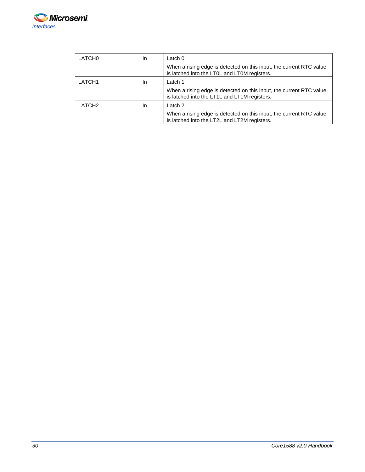

| LATCH <sub>0</sub> | In. | Latch $0$                                                                                                           |
|--------------------|-----|---------------------------------------------------------------------------------------------------------------------|
|                    |     | When a rising edge is detected on this input, the current RTC value<br>is latched into the LT0L and LT0M registers. |
| LATCH <sub>1</sub> | In. | Latch 1                                                                                                             |
|                    |     | When a rising edge is detected on this input, the current RTC value<br>is latched into the LT1L and LT1M registers. |
| LATCH <sub>2</sub> | In  | Latch 2                                                                                                             |
|                    |     | When a rising edge is detected on this input, the current RTC value<br>is latched into the LT2L and LT2M registers. |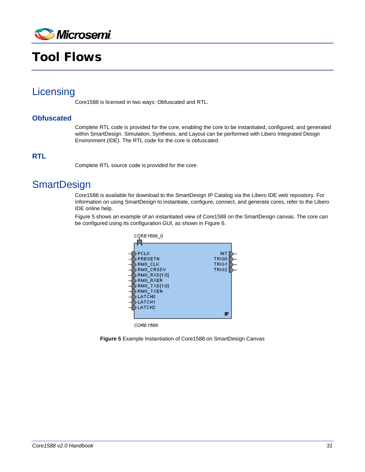

# <span id="page-30-0"></span>Tool Flows

### <span id="page-30-1"></span>**Licensing**

Core1588 is licensed in two ways: Obfuscated and RTL.

### **Obfuscated**

Complete RTL code is provided for the core, enabling the core to be instantiated, configured, and generated within SmartDesign. Simulation, Synthesis, and Layout can be performed with Libero Integrated Design Environment (IDE). The RTL code for the core is obfuscated.

### **RTL**

Complete RTL source code is provided for the core.

### <span id="page-30-2"></span>**SmartDesign**

Core1588 is available for download to the SmartDesign IP Catalog via the Libero IDE web repository. For information on using SmartDesign to instantiate, configure, connect, and generate cores, refer to the Libero IDE online help.

[Figure 5](#page-30-3) shows an example of an instantiated view of Core1588 on the SmartDesign canvas. The core can be configured using its configuration GUI, as shown in Figure 6.



<span id="page-30-3"></span>**Figure 5** Example Instantiation of Core1588 on SmartDesign Canvas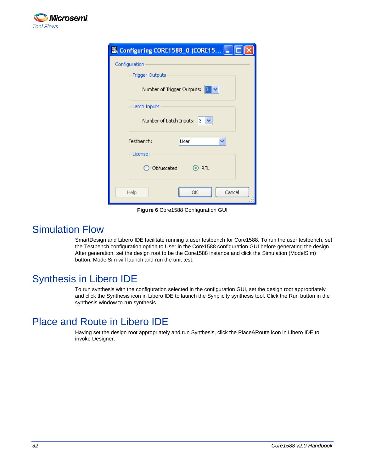

| Configuring CORE1588_0 (CORE15  _ |  |  |
|-----------------------------------|--|--|
| Configuration                     |  |  |
| <b>Trigger Outputs</b>            |  |  |
| Number of Trigger Outputs:<br>3.  |  |  |
| Latch Inputs                      |  |  |
| Number of Latch Inputs:  <br>з.   |  |  |
| Testbench:<br>User                |  |  |
| License:                          |  |  |
| Obfuscated<br>$\odot$ rtl         |  |  |
| Cancel<br>ОК<br>Help              |  |  |

**Figure 6** Core1588 Configuration GUI

### <span id="page-31-0"></span>Simulation Flow

SmartDesign and Libero IDE facilitate running a user testbench for Core1588. To run the user testbench, set the Testbench configuration option to User in the Core1588 configuration GUI before generating the design. After generation, set the design root to be the Core1588 instance and click the Simulation (ModelSim) button. ModelSim will launch and run the unit test.

## <span id="page-31-1"></span>Synthesis in Libero IDE

To run synthesis with the configuration selected in the configuration GUI, set the design root appropriately and click the Synthesis icon in Libero IDE to launch the Synplicity synthesis tool. Click the Run button in the synthesis window to run synthesis.

## <span id="page-31-2"></span>Place and Route in Libero IDE

Having set the design root appropriately and run Synthesis, click the Place&Route icon in Libero IDE to invoke Designer.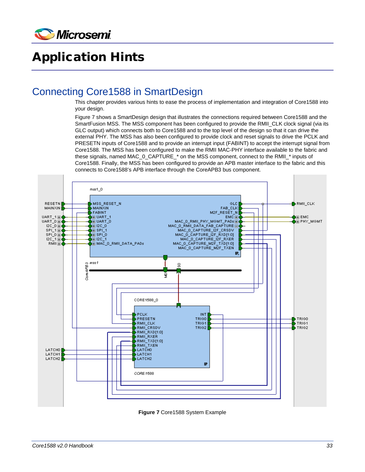

# <span id="page-32-0"></span>Application Hints

### <span id="page-32-1"></span>Connecting Core1588 in SmartDesign

This chapter provides various hints to ease the process of implementation and integration of Core1588 into your design.

[Figure 7](#page-32-2) shows a SmartDesign design that illustrates the connections required between Core1588 and the SmartFusion MSS. The MSS component has been configured to provide the RMII\_CLK clock signal (via its GLC output) which connects both to Core1588 and to the top level of the design so that it can drive the external PHY. The MSS has also been configured to provide clock and reset signals to drive the PCLK and PRESETN inputs of Core1588 and to provide an interrupt input (FABINT) to accept the interrupt signal from Core1588. The MSS has been configured to make the RMII MAC-PHY interface available to the fabric and these signals, named MAC\_0\_CAPTURE\_\* on the MSS component, connect to the RMII\_\* inputs of Core1588. Finally, the MSS has been configured to provide an APB master interface to the fabric and this connects to Core1588's APB interface through the CoreAPB3 bus component.



<span id="page-32-2"></span>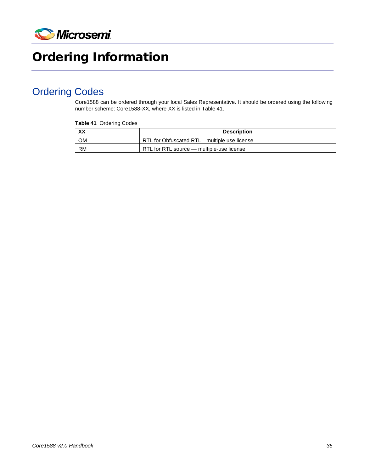

# <span id="page-34-0"></span>Ordering Information

## <span id="page-34-1"></span>Ordering Codes

Core1588 can be ordered through your local Sales Representative. It should be ordered using the following number scheme: Core1588-XX, where XX is listed i[n Table 41.](#page-34-2)

#### <span id="page-34-2"></span>**Table 41** Ordering Codes

| <b>XX</b>       | <b>Description</b>                          |
|-----------------|---------------------------------------------|
| OM              | RTL for Obfuscated RTL—multiple use license |
| RM <sup>-</sup> | RTL for RTL source — multiple-use license   |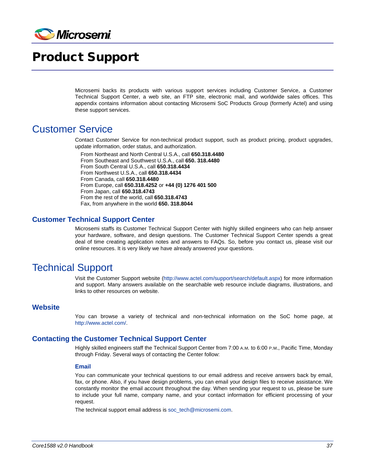

# <span id="page-36-0"></span>Product Support

Microsemi backs its products with various support services including Customer Service, a Customer Technical Support Center, a web site, an FTP site, electronic mail, and worldwide sales offices. This appendix contains information about contacting Microsemi SoC Products Group (formerly Actel) and using these support services.

### <span id="page-36-1"></span>Customer Service

Contact Customer Service for non-technical product support, such as product pricing, product upgrades, update information, order status, and authorization.

From Northeast and North Central U.S.A., call **650.318.4480** From Southeast and Southwest U.S.A., call **650. 318.4480** From South Central U.S.A., call **650.318.4434** From Northwest U.S.A., call **650.318.4434** From Canada, call **650.318.4480** From Europe, call **650.318.4252** or **+44 (0) 1276 401 500** From Japan, call **650.318.4743** From the rest of the world, call **650.318.4743** Fax, from anywhere in the world **650. 318.8044**

### **Customer Technical Support Center**

Microsemi staffs its Customer Technical Support Center with highly skilled engineers who can help answer your hardware, software, and design questions. The Customer Technical Support Center spends a great deal of time creating application notes and answers to FAQs. So, before you contact us, please visit our online resources. It is very likely we have already answered your questions.

### <span id="page-36-2"></span>Technical Support

Visit the Customer Support website [\(http://www.actel.com/support/search/default.aspx\)](http://www.actel.com/support/search/default.aspx) for more information and support. Many answers available on the searchable web resource include diagrams, illustrations, and links to other resources on website.

#### **Website**

You can browse a variety of technical and non-technical information on the SoC home page, at [http://www.actel.com/.](http://www.actel.com/)

### **Contacting the Customer Technical Support Center**

Highly skilled engineers staff the Technical Support Center from 7:00 A.M. to 6:00 P.M., Pacific Time, Monday through Friday. Several ways of contacting the Center follow:

#### **Email**

You can communicate your technical questions to our email address and receive answers back by email, fax, or phone. Also, if you have design problems, you can email your design files to receive assistance. We constantly monitor the email account throughout the day. When sending your request to us, please be sure to include your full name, company name, and your contact information for efficient processing of your request.

The technical support email address is [soc\\_tech@microsemi.com.](mailto:soc_tech@microsemi.com)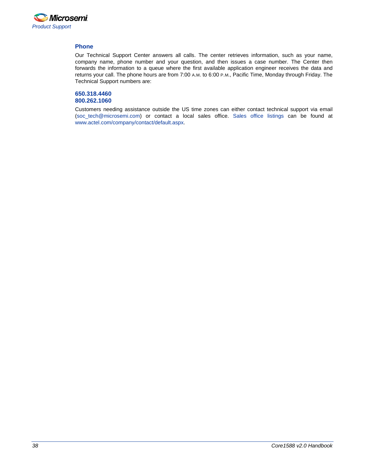

#### **Phone**

Our Technical Support Center answers all calls. The center retrieves information, such as your name, company name, phone number and your question, and then issues a case number. The Center then forwards the information to a queue where the first available application engineer receives the data and returns your call. The phone hours are from 7:00 A.M. to 6:00 P.M., Pacific Time, Monday through Friday. The Technical Support numbers are:

#### **650.318.4460 800.262.1060**

Customers needing assistance outside the US time zones can either contact technical support via email [\(soc\\_tech@microsemi.com\)](mailto:soc_tech@microsemi.com) or contact a local sales office. [Sales office listings](http://www.actel.com/company/contact/default.aspx) can be found a[t](http://www.actel.com/company/contact/default.aspx) [www.actel.com/company/contact/default.aspx.](http://www.actel.com/company/contact/default.aspx)